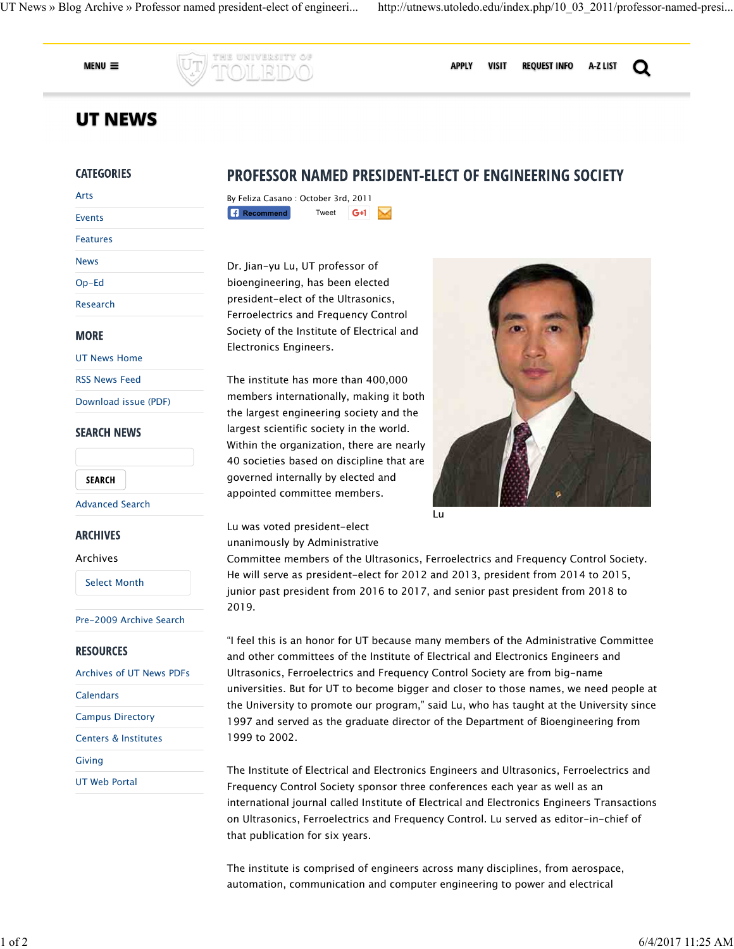**REQUEST INFO** 

A-Z LIST

Q

**VISIT** 

 $MENU \equiv$ 

**APPLY** 

# **UT NEWS**

# **CATEGORIES**

| Arts            |  |
|-----------------|--|
| <b>Events</b>   |  |
| <b>Features</b> |  |
| <b>News</b>     |  |
| $Op-Ed$         |  |
| Research        |  |
|                 |  |

# **MORE**

UT News Home

RSS News Feed

Download issue (PDF)

# **SEARCH NEWS**

**SEARCH** 

#### Advanced Search

# **ARCHIVES**

#### Archives

Select Month

#### Pre-2009 Archive Search

# **RESOURCES**

Archives of UT News PDFs **Calendars** Campus Directory Centers & Institutes Giving UT Web Portal

# **PROFESSOR NAMED PRESIDENT-ELECT OF ENGINEERING SOCIETY**

| By Feliza Casano: October 3rd, 2011 |       |       |  |
|-------------------------------------|-------|-------|--|
| $\left  \right $ Recommend          | Tweet | $G+1$ |  |

he university of

Dr. Jian-yu Lu, UT professor of bioengineering, has been elected president-elect of the Ultrasonics, Ferroelectrics and Frequency Control Society of the Institute of Electrical and Electronics Engineers.

The institute has more than 400,000 members internationally, making it both the largest engineering society and the largest scientific society in the world. Within the organization, there are nearly 40 societies based on discipline that are governed internally by elected and appointed committee members.



Lu

Lu was voted president-elect unanimously by Administrative

Committee members of the Ultrasonics, Ferroelectrics and Frequency Control Society. He will serve as president-elect for 2012 and 2013, president from 2014 to 2015, junior past president from 2016 to 2017, and senior past president from 2018 to 2019.

"I feel this is an honor for UT because many members of the Administrative Committee and other committees of the Institute of Electrical and Electronics Engineers and Ultrasonics, Ferroelectrics and Frequency Control Society are from big-name universities. But for UT to become bigger and closer to those names, we need people at the University to promote our program," said Lu, who has taught at the University since 1997 and served as the graduate director of the Department of Bioengineering from 1999 to 2002.

The Institute of Electrical and Electronics Engineers and Ultrasonics, Ferroelectrics and Frequency Control Society sponsor three conferences each year as well as an international journal called Institute of Electrical and Electronics Engineers Transactions on Ultrasonics, Ferroelectrics and Frequency Control. Lu served as editor-in-chief of that publication for six years.

The institute is comprised of engineers across many disciplines, from aerospace, automation, communication and computer engineering to power and electrical